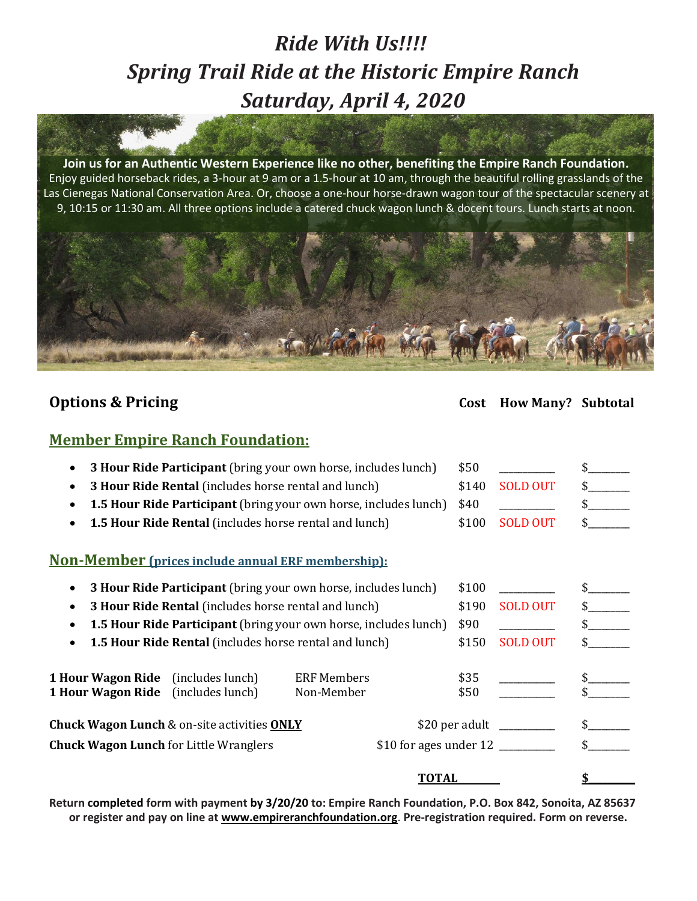# *Ride With Us!!!! Spring Trail Ride at the Historic Empire Ranch Saturday, April 4, 2020*

**Join us for an Authentic Western Experience like no other, benefiting the Empire Ranch Foundation.** Enjoy guided horseback rides, a 3-hour at 9 am or a 1.5-hour at 10 am, through the beautiful rolling grasslands of the Las Cienegas National Conservation Area. Or, choose a one-hour horse-drawn wagon tour of the spectacular scenery at 9, 10:15 or 11:30 am. All three options include a catered chuck wagon lunch & docent tours. Lunch starts at noon.



## **Options & Pricing Cost How Many? Subtotal**

### **Member Empire Ranch Foundation:**

|                                                                                        | 3 Hour Ride Participant (bring your own horse, includes lunch)          |                                  |       | \$50            |                         |  |
|----------------------------------------------------------------------------------------|-------------------------------------------------------------------------|----------------------------------|-------|-----------------|-------------------------|--|
|                                                                                        | 3 Hour Ride Rental (includes horse rental and lunch)                    |                                  |       | \$140           | <b>SOLD OUT</b>         |  |
|                                                                                        | <b>1.5 Hour Ride Participant</b> (bring your own horse, includes lunch) |                                  |       | \$40            |                         |  |
|                                                                                        | <b>1.5 Hour Ride Rental</b> (includes horse rental and lunch)           |                                  |       | \$100           | <b>SOLD OUT</b>         |  |
|                                                                                        | <b>Non-Member (prices include annual ERF membership):</b>               |                                  |       |                 |                         |  |
| <b>3 Hour Ride Participant</b> (bring your own horse, includes lunch)                  |                                                                         |                                  |       | \$100           |                         |  |
|                                                                                        | 3 Hour Ride Rental (includes horse rental and lunch)                    |                                  |       | \$190           | <b>SOLD OUT</b>         |  |
| 1.5 Hour Ride Participant (bring your own horse, includes lunch)                       |                                                                         |                                  |       | \$90            |                         |  |
| <b>1.5 Hour Ride Rental</b> (includes horse rental and lunch)                          |                                                                         |                                  | \$150 | <b>SOLD OUT</b> |                         |  |
| <b>1 Hour Wagon Ride</b> (includes lunch)<br><b>1 Hour Wagon Ride</b> (includes lunch) |                                                                         | <b>ERF Members</b><br>Non-Member |       | \$35<br>\$50    |                         |  |
|                                                                                        | <b>Chuck Wagon Lunch &amp; on-site activities ONLY</b>                  |                                  |       |                 | \$20 per adult ________ |  |
|                                                                                        | <b>Chuck Wagon Lunch for Little Wranglers</b>                           |                                  |       |                 |                         |  |
|                                                                                        |                                                                         |                                  | TOTAL |                 |                         |  |

Return completed form with payment by 3/20/20 to: Empire Ranch Foundation, P.O. Box 842, Sonoita, AZ 85637 **or register and pay on line at [www.empireranchfoundation.org](http://www.empireranchfoundation.org/)**. **Pre-registration required. Form on reverse.**